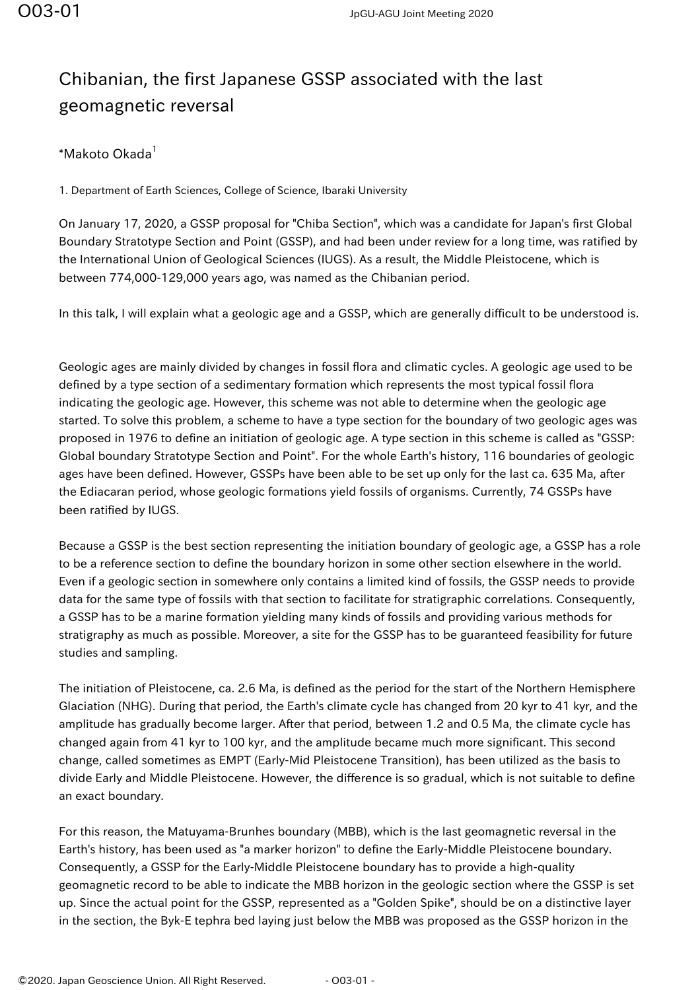## Chibanian, the first Japanese GSSP associated with the last geomagnetic reversal

## \*Makoto Okada<sup>1</sup>

1. Department of Earth Sciences, College of Science, Ibaraki University

On January 17, 2020, a GSSP proposal for "Chiba Section", which was a candidate for Japan's first Global Boundary Stratotype Section and Point (GSSP), and had been under review for a long time, was ratified by the International Union of Geological Sciences (IUGS). As a result, the Middle Pleistocene, which is between 774,000-129,000 years ago, was named as the Chibanian period.

In this talk, I will explain what a geologic age and a GSSP, which are generally difficult to be understood is.

Geologic ages are mainly divided by changes in fossil flora and climatic cycles. A geologic age used to be defined by a type section of a sedimentary formation which represents the most typical fossil flora indicating the geologic age. However, this scheme was not able to determine when the geologic age started. To solve this problem, a scheme to have a type section for the boundary of two geologic ages was proposed in 1976 to define an initiation of geologic age. A type section in this scheme is called as "GSSP: Global boundary Stratotype Section and Point". For the whole Earth's history, 116 boundaries of geologic ages have been defined. However, GSSPs have been able to be set up only for the last ca. 635 Ma, after the Ediacaran period, whose geologic formations yield fossils of organisms. Currently, 74 GSSPs have been ratified by IUGS.

Because a GSSP is the best section representing the initiation boundary of geologic age, a GSSP has a role to be a reference section to define the boundary horizon in some other section elsewhere in the world. Even if a geologic section in somewhere only contains a limited kind of fossils, the GSSP needs to provide data for the same type of fossils with that section to facilitate for stratigraphic correlations. Consequently, a GSSP has to be a marine formation yielding many kinds of fossils and providing various methods for stratigraphy as much as possible. Moreover, a site for the GSSP has to be guaranteed feasibility for future studies and sampling.

The initiation of Pleistocene, ca. 2.6 Ma, is defined as the period for the start of the Northern Hemisphere Glaciation (NHG). During that period, the Earth's climate cycle has changed from 20 kyr to 41 kyr, and the amplitude has gradually become larger. After that period, between 1.2 and 0.5 Ma, the climate cycle has changed again from 41 kyr to 100 kyr, and the amplitude became much more significant. This second change, called sometimes as EMPT (Early-Mid Pleistocene Transition), has been utilized as the basis to divide Early and Middle Pleistocene. However, the difference is so gradual, which is not suitable to define an exact boundary.

For this reason, the Matuyama-Brunhes boundary (MBB), which is the last geomagnetic reversal in the Earth's history, has been used as "a marker horizon" to define the Early-Middle Pleistocene boundary. Consequently, a GSSP for the Early-Middle Pleistocene boundary has to provide a high-quality geomagnetic record to be able to indicate the MBB horizon in the geologic section where the GSSP is set up. Since the actual point for the GSSP, represented as a "Golden Spike", should be on a distinctive layer in the section, the Byk-E tephra bed laying just below the MBB was proposed as the GSSP horizon in the